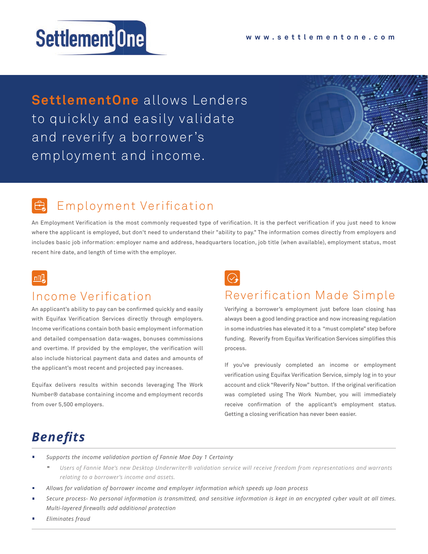# Settlement One

**SettlementOne** allows Lenders to quickly and easily validate and reverify a borrower's employment and income.

# Employment Verification

An Employment Verification is the most commonly requested type of verification. It is the perfect verification if you just need to know where the applicant is employed, but don't need to understand their "ability to pay." The information comes directly from employers and includes basic job information: employer name and address, headquarters location, job title (when available), employment status, most recent hire date, and length of time with the employer.

#### $n \mathbb{R}$

#### Income Verification

An applicant's ability to pay can be confirmed quickly and easily with Equifax Verification Services directly through employers. Income verifications contain both basic employment information and detailed compensation data-wages, bonuses commissions and overtime. If provided by the employer, the verification will also include historical payment data and dates and amounts of the applicant's most recent and projected pay increases.

Equifax delivers results within seconds leveraging The Work Number® database containing income and employment records from over 5,500 employers.

### Reverification Made Simple

Verifying a borrower's employment just before loan closing has always been a good lending practice and now increasing regulation in some industries has elevated it to a "must complete" step before funding. Reverify from Equifax Verification Services simplifies this process.

If you've previously completed an income or employment verification using Equifax Verification Service, simply log in to your account and click "Reverify Now" button. If the original verification was completed using The Work Number, you will immediately receive confirmation of the applicant's employment status. Getting a closing verification has never been easier.

# *Benefits*

- *Supports the income validation portion of Fannie Mae Day 1 Certainty*
	- *Users of Fannie Mae's new Desktop Underwriter® validation service will receive freedom from representations and warrants relating to a borrower's income and assets.*
- *Allows for validation of borrower income and employer information which speeds up loan process*
- *Secure process- No personal information is transmitted, and sensitive information is kept in an encrypted cyber vault at all times. Multi-layered firewalls add additional protection*
- *Eliminates fraud*